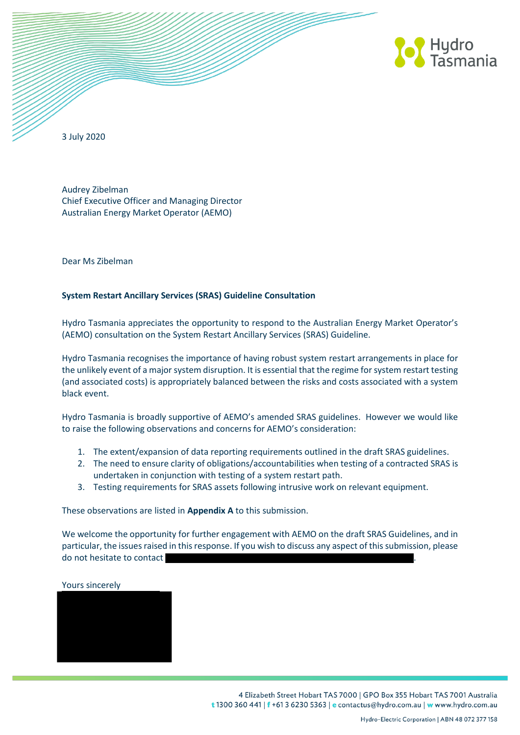

3 July 2020

Audrey Zibelman Chief Executive Officer and Managing Director Australian Energy Market Operator (AEMO)

Dear Ms Zibelman

# **System Restart Ancillary Services (SRAS) Guideline Consultation**

Hydro Tasmania appreciates the opportunity to respond to the Australian Energy Market Operator's (AEMO) consultation on the System Restart Ancillary Services (SRAS) Guideline.

Hydro Tasmania recognises the importance of having robust system restart arrangements in place for the unlikely event of a major system disruption. It is essential that the regime for system restart testing (and associated costs) is appropriately balanced between the risks and costs associated with a system black event.

Hydro Tasmania is broadly supportive of AEMO's amended SRAS guidelines. However we would like to raise the following observations and concerns for AEMO's consideration:

- 1. The extent/expansion of data reporting requirements outlined in the draft SRAS guidelines.
- 2. The need to ensure clarity of obligations/accountabilities when testing of a contracted SRAS is undertaken in conjunction with testing of a system restart path.
- 3. Testing requirements for SRAS assets following intrusive work on relevant equipment.

These observations are listed in **Appendix A** to this submission.

We welcome the opportunity for further engagement with AEMO on the draft SRAS Guidelines, and in particular, the issues raised in this response. If you wish to discuss any aspect of this submission, please do not hesitate to contact

#### Yours sincerely

4 Elizabeth Street Hobart TAS 7000 | GPO Box 355 Hobart TAS 7001 Australia t 1300 360 441 | f +61 3 6230 5363 | e contactus@hydro.com.au | w www.hydro.com.au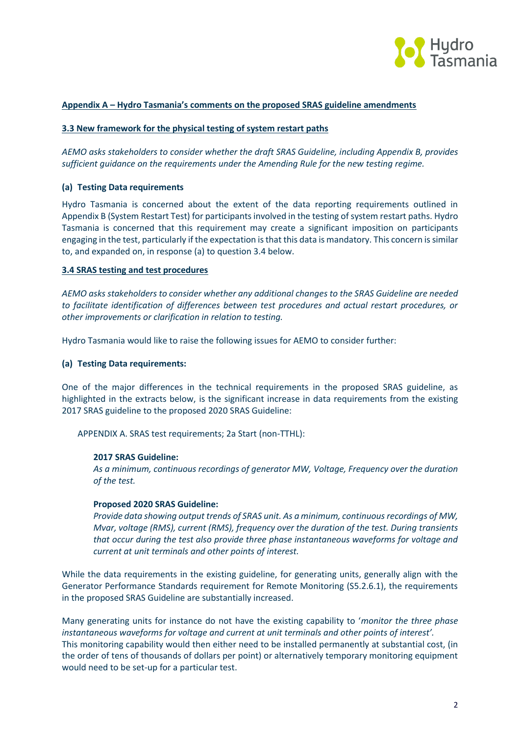

# **Appendix A – Hydro Tasmania's comments on the proposed SRAS guideline amendments**

### **3.3 New framework for the physical testing of system restart paths**

*AEMO asks stakeholders to consider whether the draft SRAS Guideline, including Appendix B, provides sufficient guidance on the requirements under the Amending Rule for the new testing regime.*

### **(a) Testing Data requirements**

Hydro Tasmania is concerned about the extent of the data reporting requirements outlined in Appendix B (System Restart Test) for participants involved in the testing of system restart paths. Hydro Tasmania is concerned that this requirement may create a significant imposition on participants engaging in the test, particularly if the expectation is that this data is mandatory. This concern is similar to, and expanded on, in response (a) to question 3.4 below.

### **3.4 SRAS testing and test procedures**

*AEMO asks stakeholders to consider whether any additional changes to the SRAS Guideline are needed to facilitate identification of differences between test procedures and actual restart procedures, or other improvements or clarification in relation to testing.*

Hydro Tasmania would like to raise the following issues for AEMO to consider further:

## **(a) Testing Data requirements:**

One of the major differences in the technical requirements in the proposed SRAS guideline, as highlighted in the extracts below, is the significant increase in data requirements from the existing 2017 SRAS guideline to the proposed 2020 SRAS Guideline:

APPENDIX A. SRAS test requirements; 2a Start (non-TTHL):

#### **2017 SRAS Guideline:**

*As a minimum, continuous recordings of generator MW, Voltage, Frequency over the duration of the test.*

#### **Proposed 2020 SRAS Guideline:**

*Provide data showing output trends of SRAS unit. As a minimum, continuous recordings of MW, Mvar, voltage (RMS), current (RMS), frequency over the duration of the test. During transients that occur during the test also provide three phase instantaneous waveforms for voltage and current at unit terminals and other points of interest.*

While the data requirements in the existing guideline, for generating units, generally align with the Generator Performance Standards requirement for Remote Monitoring (S5.2.6.1), the requirements in the proposed SRAS Guideline are substantially increased.

Many generating units for instance do not have the existing capability to '*monitor the three phase instantaneous waveforms for voltage and current at unit terminals and other points of interest'.* This monitoring capability would then either need to be installed permanently at substantial cost, (in the order of tens of thousands of dollars per point) or alternatively temporary monitoring equipment would need to be set-up for a particular test.